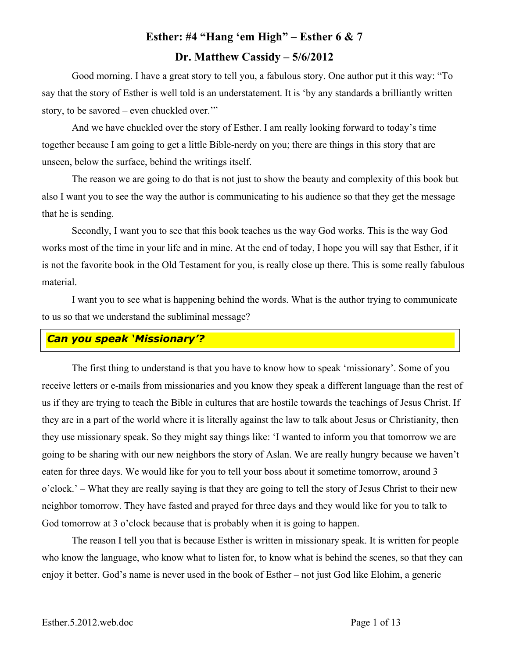# **Esther: #4 "Hang 'em High" – Esther 6 & 7 Dr. Matthew Cassidy – 5/6/2012**

Good morning. I have a great story to tell you, a fabulous story. One author put it this way: "To say that the story of Esther is well told is an understatement. It is 'by any standards a brilliantly written story, to be savored – even chuckled over.'"

And we have chuckled over the story of Esther. I am really looking forward to today's time together because I am going to get a little Bible-nerdy on you; there are things in this story that are unseen, below the surface, behind the writings itself.

The reason we are going to do that is not just to show the beauty and complexity of this book but also I want you to see the way the author is communicating to his audience so that they get the message that he is sending.

Secondly, I want you to see that this book teaches us the way God works. This is the way God works most of the time in your life and in mine. At the end of today, I hope you will say that Esther, if it is not the favorite book in the Old Testament for you, is really close up there. This is some really fabulous material.

I want you to see what is happening behind the words. What is the author trying to communicate to us so that we understand the subliminal message?

#### *Can you speak 'Missionary'?*

The first thing to understand is that you have to know how to speak 'missionary'. Some of you receive letters or e-mails from missionaries and you know they speak a different language than the rest of us if they are trying to teach the Bible in cultures that are hostile towards the teachings of Jesus Christ. If they are in a part of the world where it is literally against the law to talk about Jesus or Christianity, then they use missionary speak. So they might say things like: 'I wanted to inform you that tomorrow we are going to be sharing with our new neighbors the story of Aslan. We are really hungry because we haven't eaten for three days. We would like for you to tell your boss about it sometime tomorrow, around 3 o'clock.' – What they are really saying is that they are going to tell the story of Jesus Christ to their new neighbor tomorrow. They have fasted and prayed for three days and they would like for you to talk to God tomorrow at 3 o'clock because that is probably when it is going to happen.

The reason I tell you that is because Esther is written in missionary speak. It is written for people who know the language, who know what to listen for, to know what is behind the scenes, so that they can enjoy it better. God's name is never used in the book of Esther – not just God like Elohim, a generic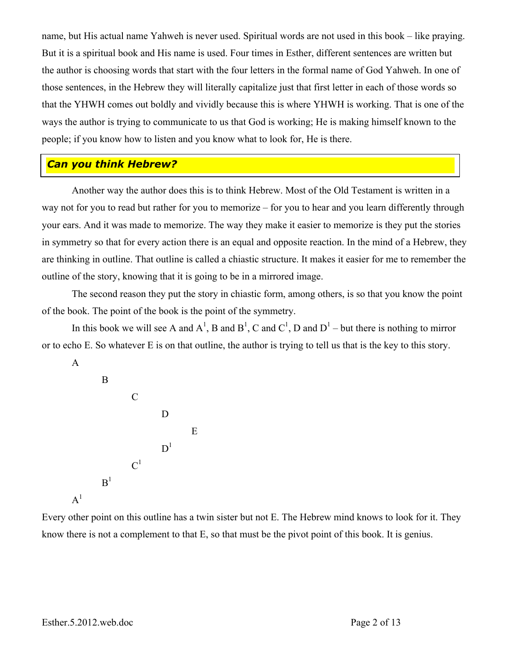name, but His actual name Yahweh is never used. Spiritual words are not used in this book – like praying. But it is a spiritual book and His name is used. Four times in Esther, different sentences are written but the author is choosing words that start with the four letters in the formal name of God Yahweh. In one of those sentences, in the Hebrew they will literally capitalize just that first letter in each of those words so that the YHWH comes out boldly and vividly because this is where YHWH is working. That is one of the ways the author is trying to communicate to us that God is working; He is making himself known to the people; if you know how to listen and you know what to look for, He is there.

#### *Can you think Hebrew?*

Another way the author does this is to think Hebrew. Most of the Old Testament is written in a way not for you to read but rather for you to memorize – for you to hear and you learn differently through your ears. And it was made to memorize. The way they make it easier to memorize is they put the stories in symmetry so that for every action there is an equal and opposite reaction. In the mind of a Hebrew, they are thinking in outline. That outline is called a chiastic structure. It makes it easier for me to remember the outline of the story, knowing that it is going to be in a mirrored image.

The second reason they put the story in chiastic form, among others, is so that you know the point of the book. The point of the book is the point of the symmetry.

In this book we will see A and  $A^1$ , B and  $B^1$ , C and  $C^1$ , D and  $D^1$  – but there is nothing to mirror or to echo E. So whatever E is on that outline, the author is trying to tell us that is the key to this story.

A



Every other point on this outline has a twin sister but not E. The Hebrew mind knows to look for it. They know there is not a complement to that E, so that must be the pivot point of this book. It is genius.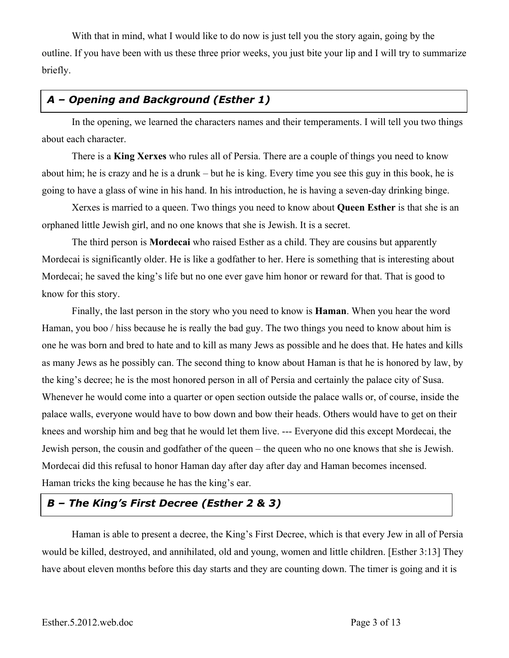With that in mind, what I would like to do now is just tell you the story again, going by the outline. If you have been with us these three prior weeks, you just bite your lip and I will try to summarize briefly.

## *A – Opening and Background (Esther 1)*

In the opening, we learned the characters names and their temperaments. I will tell you two things about each character.

There is a **King Xerxes** who rules all of Persia. There are a couple of things you need to know about him; he is crazy and he is a drunk – but he is king. Every time you see this guy in this book, he is going to have a glass of wine in his hand. In his introduction, he is having a seven-day drinking binge.

Xerxes is married to a queen. Two things you need to know about **Queen Esther** is that she is an orphaned little Jewish girl, and no one knows that she is Jewish. It is a secret.

The third person is **Mordecai** who raised Esther as a child. They are cousins but apparently Mordecai is significantly older. He is like a godfather to her. Here is something that is interesting about Mordecai; he saved the king's life but no one ever gave him honor or reward for that. That is good to know for this story.

Finally, the last person in the story who you need to know is **Haman**. When you hear the word Haman, you boo / hiss because he is really the bad guy. The two things you need to know about him is one he was born and bred to hate and to kill as many Jews as possible and he does that. He hates and kills as many Jews as he possibly can. The second thing to know about Haman is that he is honored by law, by the king's decree; he is the most honored person in all of Persia and certainly the palace city of Susa. Whenever he would come into a quarter or open section outside the palace walls or, of course, inside the palace walls, everyone would have to bow down and bow their heads. Others would have to get on their knees and worship him and beg that he would let them live. --- Everyone did this except Mordecai, the Jewish person, the cousin and godfather of the queen – the queen who no one knows that she is Jewish. Mordecai did this refusal to honor Haman day after day after day and Haman becomes incensed. Haman tricks the king because he has the king's ear.

#### *B – The King's First Decree (Esther 2 & 3)*

Haman is able to present a decree, the King's First Decree, which is that every Jew in all of Persia would be killed, destroyed, and annihilated, old and young, women and little children. [Esther 3:13] They have about eleven months before this day starts and they are counting down. The timer is going and it is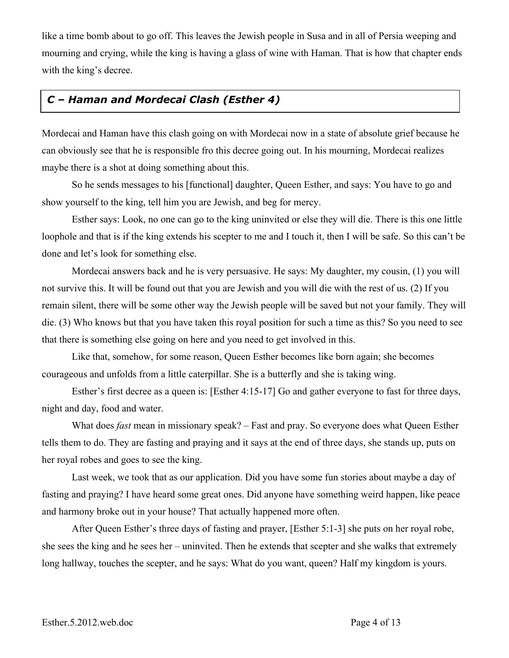like a time bomb about to go off. This leaves the Jewish people in Susa and in all of Persia weeping and mourning and crying, while the king is having a glass of wine with Haman. That is how that chapter ends with the king's decree.

### *C – Haman and Mordecai Clash (Esther 4)*

Mordecai and Haman have this clash going on with Mordecai now in a state of absolute grief because he can obviously see that he is responsible fro this decree going out. In his mourning, Mordecai realizes maybe there is a shot at doing something about this.

So he sends messages to his [functional] daughter, Queen Esther, and says: You have to go and show yourself to the king, tell him you are Jewish, and beg for mercy.

Esther says: Look, no one can go to the king uninvited or else they will die. There is this one little loophole and that is if the king extends his scepter to me and I touch it, then I will be safe. So this can't be done and let's look for something else.

Mordecai answers back and he is very persuasive. He says: My daughter, my cousin, (1) you will not survive this. It will be found out that you are Jewish and you will die with the rest of us. (2) If you remain silent, there will be some other way the Jewish people will be saved but not your family. They will die. (3) Who knows but that you have taken this royal position for such a time as this? So you need to see that there is something else going on here and you need to get involved in this.

Like that, somehow, for some reason, Queen Esther becomes like born again; she becomes courageous and unfolds from a little caterpillar. She is a butterfly and she is taking wing.

Esther's first decree as a queen is: [Esther 4:15-17] Go and gather everyone to fast for three days, night and day, food and water.

What does *fast* mean in missionary speak? – Fast and pray. So everyone does what Queen Esther tells them to do. They are fasting and praying and it says at the end of three days, she stands up, puts on her royal robes and goes to see the king.

Last week, we took that as our application. Did you have some fun stories about maybe a day of fasting and praying? I have heard some great ones. Did anyone have something weird happen, like peace and harmony broke out in your house? That actually happened more often.

After Queen Esther's three days of fasting and prayer, [Esther 5:1-3] she puts on her royal robe, she sees the king and he sees her – uninvited. Then he extends that scepter and she walks that extremely long hallway, touches the scepter, and he says: What do you want, queen? Half my kingdom is yours.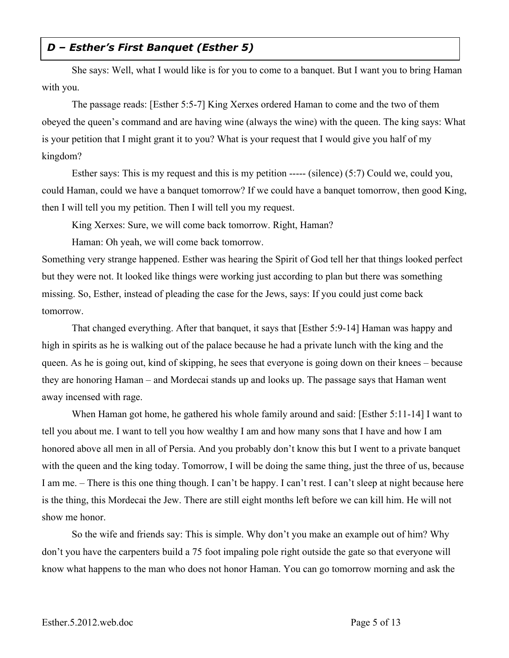#### *D – Esther's First Banquet (Esther 5)*

She says: Well, what I would like is for you to come to a banquet. But I want you to bring Haman with you.

The passage reads: [Esther 5:5-7] King Xerxes ordered Haman to come and the two of them obeyed the queen's command and are having wine (always the wine) with the queen. The king says: What is your petition that I might grant it to you? What is your request that I would give you half of my kingdom?

Esther says: This is my request and this is my petition ----- (silence) (5:7) Could we, could you, could Haman, could we have a banquet tomorrow? If we could have a banquet tomorrow, then good King, then I will tell you my petition. Then I will tell you my request.

King Xerxes: Sure, we will come back tomorrow. Right, Haman?

Haman: Oh yeah, we will come back tomorrow.

Something very strange happened. Esther was hearing the Spirit of God tell her that things looked perfect but they were not. It looked like things were working just according to plan but there was something missing. So, Esther, instead of pleading the case for the Jews, says: If you could just come back tomorrow.

That changed everything. After that banquet, it says that [Esther 5:9-14] Haman was happy and high in spirits as he is walking out of the palace because he had a private lunch with the king and the queen. As he is going out, kind of skipping, he sees that everyone is going down on their knees – because they are honoring Haman – and Mordecai stands up and looks up. The passage says that Haman went away incensed with rage.

When Haman got home, he gathered his whole family around and said: [Esther 5:11-14] I want to tell you about me. I want to tell you how wealthy I am and how many sons that I have and how I am honored above all men in all of Persia. And you probably don't know this but I went to a private banquet with the queen and the king today. Tomorrow, I will be doing the same thing, just the three of us, because I am me. – There is this one thing though. I can't be happy. I can't rest. I can't sleep at night because here is the thing, this Mordecai the Jew. There are still eight months left before we can kill him. He will not show me honor.

So the wife and friends say: This is simple. Why don't you make an example out of him? Why don't you have the carpenters build a 75 foot impaling pole right outside the gate so that everyone will know what happens to the man who does not honor Haman. You can go tomorrow morning and ask the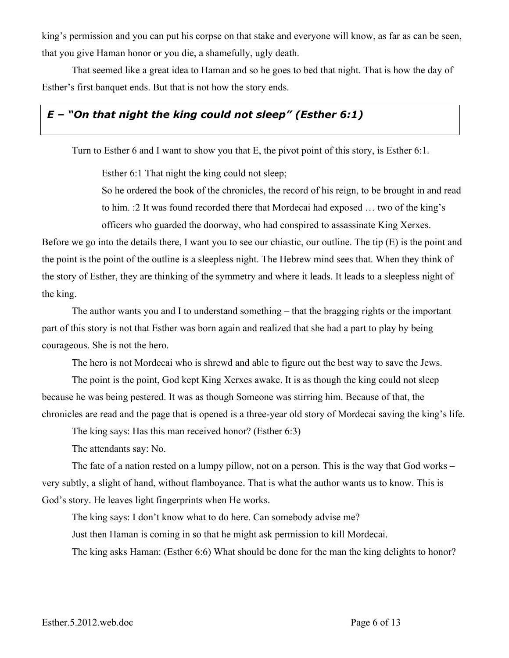king's permission and you can put his corpse on that stake and everyone will know, as far as can be seen, that you give Haman honor or you die, a shamefully, ugly death.

That seemed like a great idea to Haman and so he goes to bed that night. That is how the day of Esther's first banquet ends. But that is not how the story ends.

# *E – "On that night the king could not sleep" (Esther 6:1)*

Turn to Esther 6 and I want to show you that E, the pivot point of this story, is Esther 6:1.

Esther 6:1 That night the king could not sleep;

So he ordered the book of the chronicles, the record of his reign, to be brought in and read to him. :2 It was found recorded there that Mordecai had exposed … two of the king's officers who guarded the doorway, who had conspired to assassinate King Xerxes.

Before we go into the details there, I want you to see our chiastic, our outline. The tip (E) is the point and the point is the point of the outline is a sleepless night. The Hebrew mind sees that. When they think of the story of Esther, they are thinking of the symmetry and where it leads. It leads to a sleepless night of the king.

The author wants you and I to understand something – that the bragging rights or the important part of this story is not that Esther was born again and realized that she had a part to play by being courageous. She is not the hero.

The hero is not Mordecai who is shrewd and able to figure out the best way to save the Jews.

The point is the point, God kept King Xerxes awake. It is as though the king could not sleep because he was being pestered. It was as though Someone was stirring him. Because of that, the chronicles are read and the page that is opened is a three-year old story of Mordecai saving the king's life.

The king says: Has this man received honor? (Esther 6:3)

The attendants say: No.

The fate of a nation rested on a lumpy pillow, not on a person. This is the way that God works – very subtly, a slight of hand, without flamboyance. That is what the author wants us to know. This is God's story. He leaves light fingerprints when He works.

The king says: I don't know what to do here. Can somebody advise me? Just then Haman is coming in so that he might ask permission to kill Mordecai. The king asks Haman: (Esther 6:6) What should be done for the man the king delights to honor?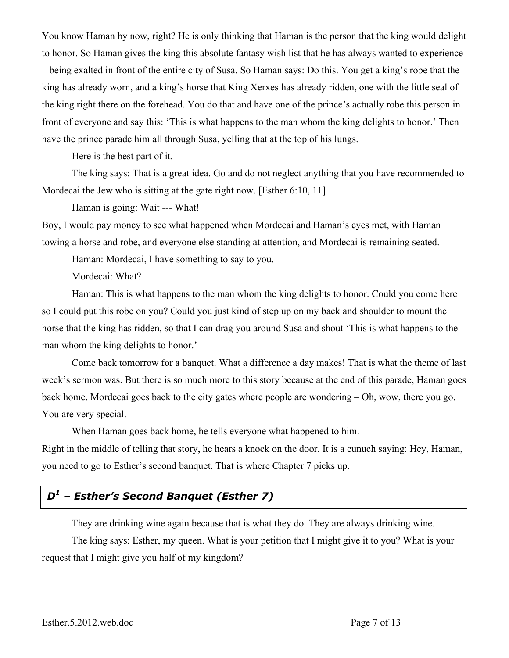You know Haman by now, right? He is only thinking that Haman is the person that the king would delight to honor. So Haman gives the king this absolute fantasy wish list that he has always wanted to experience – being exalted in front of the entire city of Susa. So Haman says: Do this. You get a king's robe that the king has already worn, and a king's horse that King Xerxes has already ridden, one with the little seal of the king right there on the forehead. You do that and have one of the prince's actually robe this person in front of everyone and say this: 'This is what happens to the man whom the king delights to honor.' Then have the prince parade him all through Susa, yelling that at the top of his lungs.

Here is the best part of it.

The king says: That is a great idea. Go and do not neglect anything that you have recommended to Mordecai the Jew who is sitting at the gate right now. [Esther 6:10, 11]

Haman is going: Wait --- What!

Boy, I would pay money to see what happened when Mordecai and Haman's eyes met, with Haman towing a horse and robe, and everyone else standing at attention, and Mordecai is remaining seated.

Haman: Mordecai, I have something to say to you.

Mordecai: What?

Haman: This is what happens to the man whom the king delights to honor. Could you come here so I could put this robe on you? Could you just kind of step up on my back and shoulder to mount the horse that the king has ridden, so that I can drag you around Susa and shout 'This is what happens to the man whom the king delights to honor.'

Come back tomorrow for a banquet. What a difference a day makes! That is what the theme of last week's sermon was. But there is so much more to this story because at the end of this parade, Haman goes back home. Mordecai goes back to the city gates where people are wondering – Oh, wow, there you go. You are very special.

When Haman goes back home, he tells everyone what happened to him.

Right in the middle of telling that story, he hears a knock on the door. It is a eunuch saying: Hey, Haman, you need to go to Esther's second banquet. That is where Chapter 7 picks up.

## *D<sup>1</sup> – Esther's Second Banquet (Esther 7)*

They are drinking wine again because that is what they do. They are always drinking wine.

The king says: Esther, my queen. What is your petition that I might give it to you? What is your request that I might give you half of my kingdom?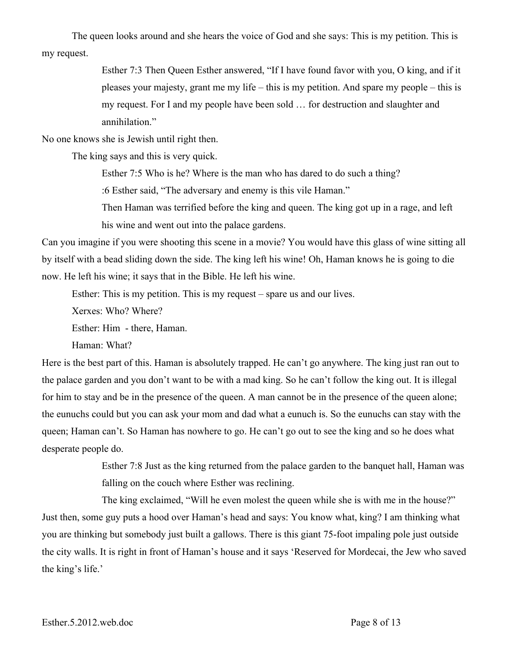The queen looks around and she hears the voice of God and she says: This is my petition. This is my request.

> Esther 7:3 Then Queen Esther answered, "If I have found favor with you, O king, and if it pleases your majesty, grant me my life – this is my petition. And spare my people – this is my request. For I and my people have been sold … for destruction and slaughter and annihilation."

No one knows she is Jewish until right then.

The king says and this is very quick.

Esther 7:5 Who is he? Where is the man who has dared to do such a thing?

:6 Esther said, "The adversary and enemy is this vile Haman."

Then Haman was terrified before the king and queen. The king got up in a rage, and left his wine and went out into the palace gardens.

Can you imagine if you were shooting this scene in a movie? You would have this glass of wine sitting all by itself with a bead sliding down the side. The king left his wine! Oh, Haman knows he is going to die now. He left his wine; it says that in the Bible. He left his wine.

Esther: This is my petition. This is my request – spare us and our lives.

Xerxes: Who? Where?

Esther: Him - there, Haman.

Haman: What?

Here is the best part of this. Haman is absolutely trapped. He can't go anywhere. The king just ran out to the palace garden and you don't want to be with a mad king. So he can't follow the king out. It is illegal for him to stay and be in the presence of the queen. A man cannot be in the presence of the queen alone; the eunuchs could but you can ask your mom and dad what a eunuch is. So the eunuchs can stay with the queen; Haman can't. So Haman has nowhere to go. He can't go out to see the king and so he does what desperate people do.

> Esther 7:8 Just as the king returned from the palace garden to the banquet hall, Haman was falling on the couch where Esther was reclining.

The king exclaimed, "Will he even molest the queen while she is with me in the house?" Just then, some guy puts a hood over Haman's head and says: You know what, king? I am thinking what you are thinking but somebody just built a gallows. There is this giant 75-foot impaling pole just outside the city walls. It is right in front of Haman's house and it says 'Reserved for Mordecai, the Jew who saved the king's life.'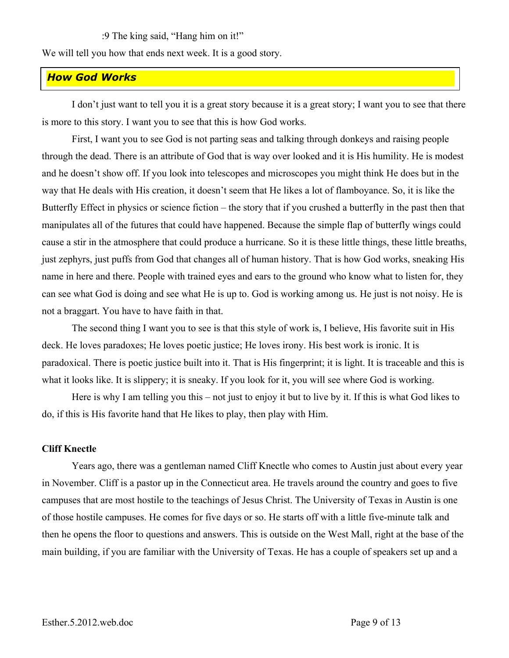:9 The king said, "Hang him on it!"

We will tell you how that ends next week. It is a good story.

#### *How God Works*

I don't just want to tell you it is a great story because it is a great story; I want you to see that there is more to this story. I want you to see that this is how God works.

First, I want you to see God is not parting seas and talking through donkeys and raising people through the dead. There is an attribute of God that is way over looked and it is His humility. He is modest and he doesn't show off. If you look into telescopes and microscopes you might think He does but in the way that He deals with His creation, it doesn't seem that He likes a lot of flamboyance. So, it is like the Butterfly Effect in physics or science fiction – the story that if you crushed a butterfly in the past then that manipulates all of the futures that could have happened. Because the simple flap of butterfly wings could cause a stir in the atmosphere that could produce a hurricane. So it is these little things, these little breaths, just zephyrs, just puffs from God that changes all of human history. That is how God works, sneaking His name in here and there. People with trained eyes and ears to the ground who know what to listen for, they can see what God is doing and see what He is up to. God is working among us. He just is not noisy. He is not a braggart. You have to have faith in that.

The second thing I want you to see is that this style of work is, I believe, His favorite suit in His deck. He loves paradoxes; He loves poetic justice; He loves irony. His best work is ironic. It is paradoxical. There is poetic justice built into it. That is His fingerprint; it is light. It is traceable and this is what it looks like. It is slippery; it is sneaky. If you look for it, you will see where God is working.

Here is why I am telling you this – not just to enjoy it but to live by it. If this is what God likes to do, if this is His favorite hand that He likes to play, then play with Him.

#### **Cliff Knectle**

Years ago, there was a gentleman named Cliff Knectle who comes to Austin just about every year in November. Cliff is a pastor up in the Connecticut area. He travels around the country and goes to five campuses that are most hostile to the teachings of Jesus Christ. The University of Texas in Austin is one of those hostile campuses. He comes for five days or so. He starts off with a little five-minute talk and then he opens the floor to questions and answers. This is outside on the West Mall, right at the base of the main building, if you are familiar with the University of Texas. He has a couple of speakers set up and a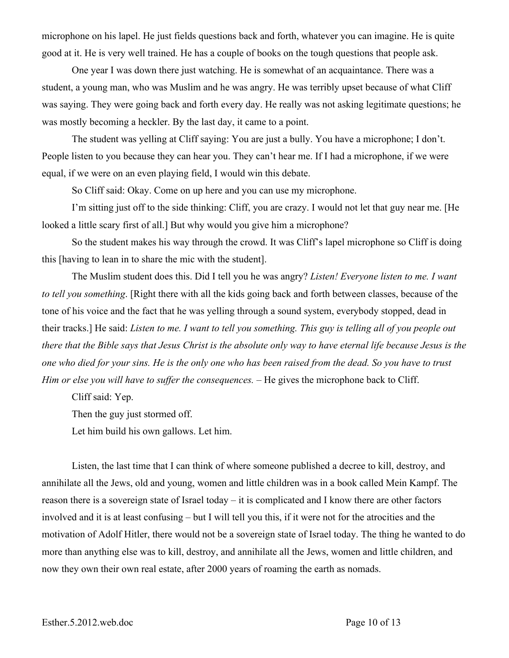microphone on his lapel. He just fields questions back and forth, whatever you can imagine. He is quite good at it. He is very well trained. He has a couple of books on the tough questions that people ask.

One year I was down there just watching. He is somewhat of an acquaintance. There was a student, a young man, who was Muslim and he was angry. He was terribly upset because of what Cliff was saying. They were going back and forth every day. He really was not asking legitimate questions; he was mostly becoming a heckler. By the last day, it came to a point.

The student was yelling at Cliff saying: You are just a bully. You have a microphone; I don't. People listen to you because they can hear you. They can't hear me. If I had a microphone, if we were equal, if we were on an even playing field, I would win this debate.

So Cliff said: Okay. Come on up here and you can use my microphone.

I'm sitting just off to the side thinking: Cliff, you are crazy. I would not let that guy near me. [He looked a little scary first of all.] But why would you give him a microphone?

So the student makes his way through the crowd. It was Cliff's lapel microphone so Cliff is doing this [having to lean in to share the mic with the student].

The Muslim student does this. Did I tell you he was angry? *Listen! Everyone listen to me. I want to tell you something*. [Right there with all the kids going back and forth between classes, because of the tone of his voice and the fact that he was yelling through a sound system, everybody stopped, dead in their tracks.] He said: *Listen to me. I want to tell you something. This guy is telling all of you people out there that the Bible says that Jesus Christ is the absolute only way to have eternal life because Jesus is the one who died for your sins. He is the only one who has been raised from the dead. So you have to trust Him or else you will have to suffer the consequences. –* He gives the microphone back to Cliff.

Cliff said: Yep.

Then the guy just stormed off.

Let him build his own gallows. Let him.

Listen, the last time that I can think of where someone published a decree to kill, destroy, and annihilate all the Jews, old and young, women and little children was in a book called Mein Kampf. The reason there is a sovereign state of Israel today – it is complicated and I know there are other factors involved and it is at least confusing – but I will tell you this, if it were not for the atrocities and the motivation of Adolf Hitler, there would not be a sovereign state of Israel today. The thing he wanted to do more than anything else was to kill, destroy, and annihilate all the Jews, women and little children, and now they own their own real estate, after 2000 years of roaming the earth as nomads.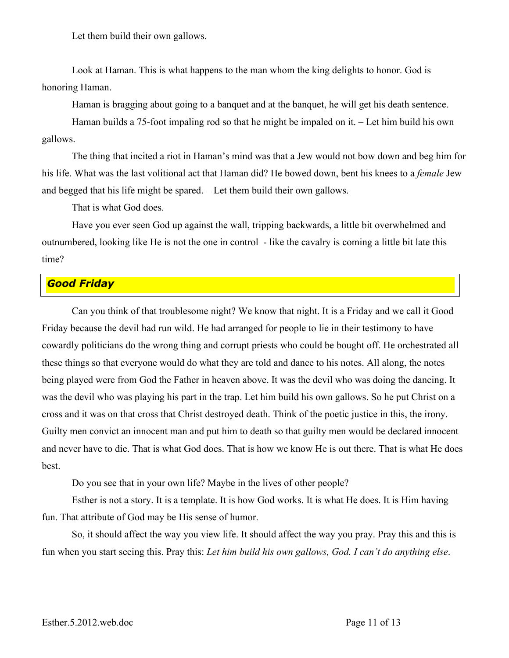Let them build their own gallows.

Look at Haman. This is what happens to the man whom the king delights to honor. God is honoring Haman.

Haman is bragging about going to a banquet and at the banquet, he will get his death sentence.

Haman builds a 75-foot impaling rod so that he might be impaled on it. – Let him build his own gallows.

The thing that incited a riot in Haman's mind was that a Jew would not bow down and beg him for his life. What was the last volitional act that Haman did? He bowed down, bent his knees to a *female* Jew and begged that his life might be spared. – Let them build their own gallows.

That is what God does.

Have you ever seen God up against the wall, tripping backwards, a little bit overwhelmed and outnumbered, looking like He is not the one in control - like the cavalry is coming a little bit late this time?

#### *Good Friday*

Can you think of that troublesome night? We know that night. It is a Friday and we call it Good Friday because the devil had run wild. He had arranged for people to lie in their testimony to have cowardly politicians do the wrong thing and corrupt priests who could be bought off. He orchestrated all these things so that everyone would do what they are told and dance to his notes. All along, the notes being played were from God the Father in heaven above. It was the devil who was doing the dancing. It was the devil who was playing his part in the trap. Let him build his own gallows. So he put Christ on a cross and it was on that cross that Christ destroyed death. Think of the poetic justice in this, the irony. Guilty men convict an innocent man and put him to death so that guilty men would be declared innocent and never have to die. That is what God does. That is how we know He is out there. That is what He does best.

Do you see that in your own life? Maybe in the lives of other people?

Esther is not a story. It is a template. It is how God works. It is what He does. It is Him having fun. That attribute of God may be His sense of humor.

So, it should affect the way you view life. It should affect the way you pray. Pray this and this is fun when you start seeing this. Pray this: *Let him build his own gallows, God. I can't do anything else*.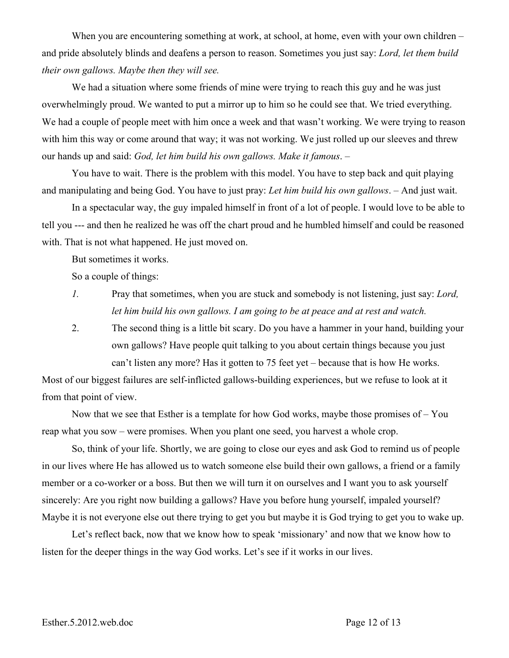When you are encountering something at work, at school, at home, even with your own children – and pride absolutely blinds and deafens a person to reason. Sometimes you just say: *Lord, let them build their own gallows. Maybe then they will see.*

We had a situation where some friends of mine were trying to reach this guy and he was just overwhelmingly proud. We wanted to put a mirror up to him so he could see that. We tried everything. We had a couple of people meet with him once a week and that wasn't working. We were trying to reason with him this way or come around that way; it was not working. We just rolled up our sleeves and threw our hands up and said: *God, let him build his own gallows. Make it famous*. –

You have to wait. There is the problem with this model. You have to step back and quit playing and manipulating and being God. You have to just pray: *Let him build his own gallows*. – And just wait.

In a spectacular way, the guy impaled himself in front of a lot of people. I would love to be able to tell you --- and then he realized he was off the chart proud and he humbled himself and could be reasoned with. That is not what happened. He just moved on.

But sometimes it works.

So a couple of things:

- *1.* Pray that sometimes, when you are stuck and somebody is not listening, just say: *Lord, let him build his own gallows. I am going to be at peace and at rest and watch.*
- 2. The second thing is a little bit scary. Do you have a hammer in your hand, building your own gallows? Have people quit talking to you about certain things because you just can't listen any more? Has it gotten to 75 feet yet – because that is how He works.

Most of our biggest failures are self-inflicted gallows-building experiences, but we refuse to look at it from that point of view.

Now that we see that Esther is a template for how God works, maybe those promises of – You reap what you sow – were promises. When you plant one seed, you harvest a whole crop.

So, think of your life. Shortly, we are going to close our eyes and ask God to remind us of people in our lives where He has allowed us to watch someone else build their own gallows, a friend or a family member or a co-worker or a boss. But then we will turn it on ourselves and I want you to ask yourself sincerely: Are you right now building a gallows? Have you before hung yourself, impaled yourself? Maybe it is not everyone else out there trying to get you but maybe it is God trying to get you to wake up.

Let's reflect back, now that we know how to speak 'missionary' and now that we know how to listen for the deeper things in the way God works. Let's see if it works in our lives.